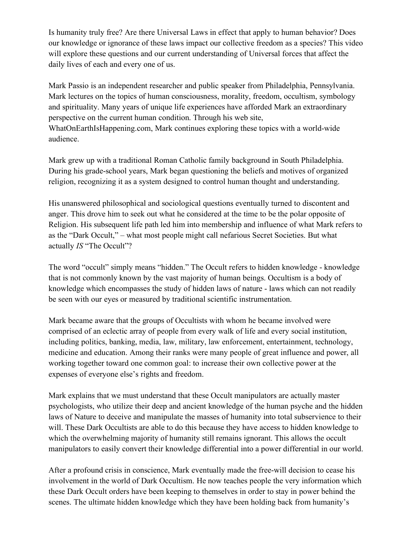Is humanity truly free? Are there Universal Laws in effect that apply to human behavior? Does our knowledge or ignorance of these laws impact our collective freedom as a species? This video will explore these questions and our current understanding of Universal forces that affect the daily lives of each and every one of us.

Mark Passio is an independent researcher and public speaker from Philadelphia, Pennsylvania. Mark lectures on the topics of human consciousness, morality, freedom, occultism, symbology and spirituality. Many years of unique life experiences have afforded Mark an extraordinary perspective on the current human condition. Through his web site, WhatOnEarthIsHappening.com, Mark continues exploring these topics with a world-wide audience.

Mark grew up with a traditional Roman Catholic family background in South Philadelphia. During his grade-school years, Mark began questioning the beliefs and motives of organized religion, recognizing it as a system designed to control human thought and understanding.

His unanswered philosophical and sociological questions eventually turned to discontent and anger. This drove him to seek out what he considered at the time to be the polar opposite of Religion. His subsequent life path led him into membership and influence of what Mark refers to as the "Dark Occult," – what most people might call nefarious Secret Societies. But what actually *IS* "The Occult"?

The word "occult" simply means "hidden." The Occult refers to hidden knowledge - knowledge that is not commonly known by the vast majority of human beings. Occultism is a body of knowledge which encompasses the study of hidden laws of nature - laws which can not readily be seen with our eyes or measured by traditional scientific instrumentation.

Mark became aware that the groups of Occultists with whom he became involved were comprised of an eclectic array of people from every walk of life and every social institution, including politics, banking, media, law, military, law enforcement, entertainment, technology, medicine and education. Among their ranks were many people of great influence and power, all working together toward one common goal: to increase their own collective power at the expenses of everyone else's rights and freedom.

Mark explains that we must understand that these Occult manipulators are actually master psychologists, who utilize their deep and ancient knowledge of the human psyche and the hidden laws of Nature to deceive and manipulate the masses of humanity into total subservience to their will. These Dark Occultists are able to do this because they have access to hidden knowledge to which the overwhelming majority of humanity still remains ignorant. This allows the occult manipulators to easily convert their knowledge differential into a power differential in our world.

After a profound crisis in conscience, Mark eventually made the free-will decision to cease his involvement in the world of Dark Occultism. He now teaches people the very information which these Dark Occult orders have been keeping to themselves in order to stay in power behind the scenes. The ultimate hidden knowledge which they have been holding back from humanity's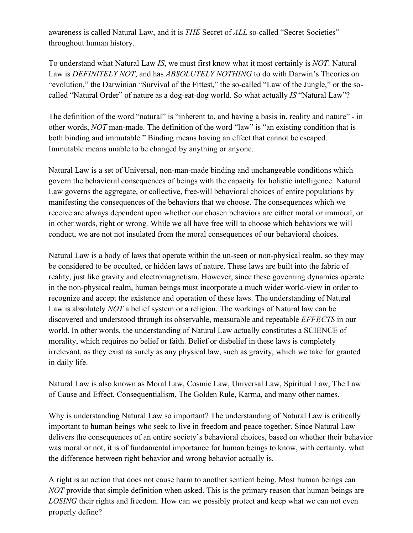awareness is called Natural Law, and it is *THE* Secret of *ALL* so-called "Secret Societies" throughout human history.

To understand what Natural Law *IS*, we must first know what it most certainly is *NOT*. Natural Law is *DEFINITELY NOT*, and has *ABSOLUTELY NOTHING* to do with Darwin's Theories on "evolution," the Darwinian "Survival of the Fittest," the so-called "Law of the Jungle," or the socalled "Natural Order" of nature as a dog-eat-dog world. So what actually *IS* "Natural Law"?

The definition of the word "natural" is "inherent to, and having a basis in, reality and nature" - in other words, *NOT* man-made. The definition of the word "law" is "an existing condition that is both binding and immutable." Binding means having an effect that cannot be escaped. Immutable means unable to be changed by anything or anyone.

Natural Law is a set of Universal, non-man-made binding and unchangeable conditions which govern the behavioral consequences of beings with the capacity for holistic intelligence. Natural Law governs the aggregate, or collective, free-will behavioral choices of entire populations by manifesting the consequences of the behaviors that we choose. The consequences which we receive are always dependent upon whether our chosen behaviors are either moral or immoral, or in other words, right or wrong. While we all have free will to choose which behaviors we will conduct, we are not not insulated from the moral consequences of our behavioral choices.

Natural Law is a body of laws that operate within the un-seen or non-physical realm, so they may be considered to be occulted, or hidden laws of nature. These laws are built into the fabric of reality, just like gravity and electromagnetism. However, since these governing dynamics operate in the non-physical realm, human beings must incorporate a much wider world-view in order to recognize and accept the existence and operation of these laws. The understanding of Natural Law is absolutely *NOT* a belief system or a religion. The workings of Natural law can be discovered and understood through its observable, measurable and repeatable *EFFECTS* in our world. In other words, the understanding of Natural Law actually constitutes a SCIENCE of morality, which requires no belief or faith. Belief or disbelief in these laws is completely irrelevant, as they exist as surely as any physical law, such as gravity, which we take for granted in daily life.

Natural Law is also known as Moral Law, Cosmic Law, Universal Law, Spiritual Law, The Law of Cause and Effect, Consequentialism, The Golden Rule, Karma, and many other names.

Why is understanding Natural Law so important? The understanding of Natural Law is critically important to human beings who seek to live in freedom and peace together. Since Natural Law delivers the consequences of an entire society's behavioral choices, based on whether their behavior was moral or not, it is of fundamental importance for human beings to know, with certainty, what the difference between right behavior and wrong behavior actually is.

A right is an action that does not cause harm to another sentient being. Most human beings can *NOT* provide that simple definition when asked. This is the primary reason that human beings are *LOSING* their rights and freedom. How can we possibly protect and keep what we can not even properly define?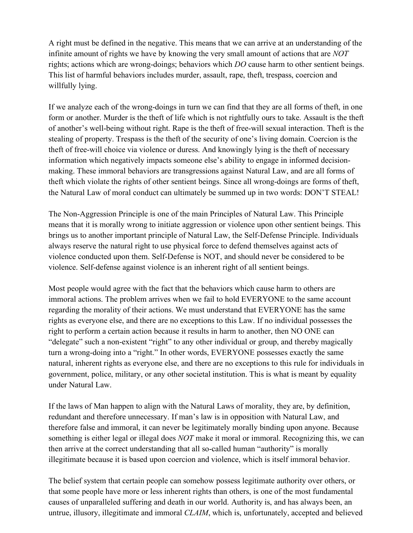A right must be defined in the negative. This means that we can arrive at an understanding of the infinite amount of rights we have by knowing the very small amount of actions that are *NOT* rights; actions which are wrong-doings; behaviors which *DO* cause harm to other sentient beings. This list of harmful behaviors includes murder, assault, rape, theft, trespass, coercion and willfully lying.

If we analyze each of the wrong-doings in turn we can find that they are all forms of theft, in one form or another. Murder is the theft of life which is not rightfully ours to take. Assault is the theft of another's well-being without right. Rape is the theft of free-will sexual interaction. Theft is the stealing of property. Trespass is the theft of the security of one's living domain. Coercion is the theft of free-will choice via violence or duress. And knowingly lying is the theft of necessary information which negatively impacts someone else's ability to engage in informed decisionmaking. These immoral behaviors are transgressions against Natural Law, and are all forms of theft which violate the rights of other sentient beings. Since all wrong-doings are forms of theft, the Natural Law of moral conduct can ultimately be summed up in two words: DON'T STEAL!

The Non-Aggression Principle is one of the main Principles of Natural Law. This Principle means that it is morally wrong to initiate aggression or violence upon other sentient beings. This brings us to another important principle of Natural Law, the Self-Defense Principle. Individuals always reserve the natural right to use physical force to defend themselves against acts of violence conducted upon them. Self-Defense is NOT, and should never be considered to be violence. Self-defense against violence is an inherent right of all sentient beings.

Most people would agree with the fact that the behaviors which cause harm to others are immoral actions. The problem arrives when we fail to hold EVERYONE to the same account regarding the morality of their actions. We must understand that EVERYONE has the same rights as everyone else, and there are no exceptions to this Law. If no individual possesses the right to perform a certain action because it results in harm to another, then NO ONE can "delegate" such a non-existent "right" to any other individual or group, and thereby magically turn a wrong-doing into a "right." In other words, EVERYONE possesses exactly the same natural, inherent rights as everyone else, and there are no exceptions to this rule for individuals in government, police, military, or any other societal institution. This is what is meant by equality under Natural Law.

If the laws of Man happen to align with the Natural Laws of morality, they are, by definition, redundant and therefore unnecessary. If man's law is in opposition with Natural Law, and therefore false and immoral, it can never be legitimately morally binding upon anyone. Because something is either legal or illegal does *NOT* make it moral or immoral. Recognizing this, we can then arrive at the correct understanding that all so-called human "authority" is morally illegitimate because it is based upon coercion and violence, which is itself immoral behavior.

The belief system that certain people can somehow possess legitimate authority over others, or that some people have more or less inherent rights than others, is one of the most fundamental causes of unparalleled suffering and death in our world. Authority is, and has always been, an untrue, illusory, illegitimate and immoral *CLAIM*, which is, unfortunately, accepted and believed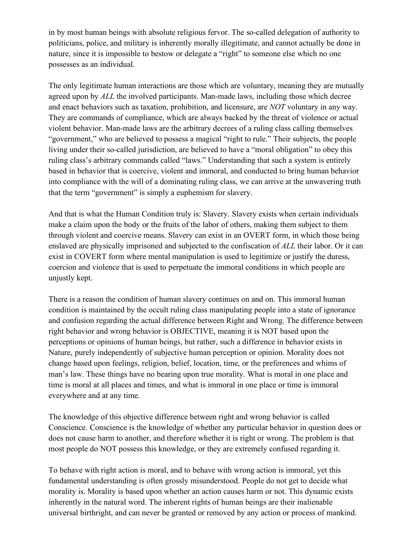in by most human beings with absolute religious fervor. The so-called delegation of authority to politicians, police, and military is inherently morally illegitimate, and cannot actually be done in nature, since it is impossible to bestow or delegate a "right" to someone else which no one possesses as an individual.

The only legitimate human interactions are those which are voluntary, meaning they are mutually agreed upon by *ALL* the involved participants. Man-made laws, including those which decree and enact behaviors such as taxation, prohibition, and licensure, are *NOT* voluntary in any way. They are commands of compliance, which are always backed by the threat of violence or actual violent behavior. Man-made laws are the arbitrary decrees of a ruling class calling themselves "government," who are believed to possess a magical "right to rule." Their subjects, the people living under their so-called jurisdiction, are believed to have a "moral obligation" to obey this ruling class's arbitrary commands called "laws." Understanding that such a system is entirely based in behavior that is coercive, violent and immoral, and conducted to bring human behavior into compliance with the will of a dominating ruling class, we can arrive at the unwavering truth that the term "government" is simply a euphemism for slavery.

And that is what the Human Condition truly is: Slavery. Slavery exists when certain individuals make a claim upon the body or the fruits of the labor of others, making them subject to them through violent and coercive means. Slavery can exist in an OVERT form, in which those being enslaved are physically imprisoned and subjected to the confiscation of *ALL* their labor. Or it can exist in COVERT form where mental manipulation is used to legitimize or justify the duress, coercion and violence that is used to perpetuate the immoral conditions in which people are unjustly kept.

There is a reason the condition of human slavery continues on and on. This immoral human condition is maintained by the occult ruling class manipulating people into a state of ignorance and confusion regarding the actual difference between Right and Wrong. The difference between right behavior and wrong behavior is OBJECTIVE, meaning it is NOT based upon the perceptions or opinions of human beings, but rather, such a difference in behavior exists in Nature, purely independently of subjective human perception or opinion. Morality does not change based upon feelings, religion, belief, location, time, or the preferences and whims of man's law. These things have no bearing upon true morality. What is moral in one place and time is moral at all places and times, and what is immoral in one place or time is immoral everywhere and at any time.

The knowledge of this objective difference between right and wrong behavior is called Conscience. Conscience is the knowledge of whether any particular behavior in question does or does not cause harm to another, and therefore whether it is right or wrong. The problem is that most people do NOT possess this knowledge, or they are extremely confused regarding it.

To behave with right action is moral, and to behave with wrong action is immoral, yet this fundamental understanding is often grossly misunderstood. People do not get to decide what morality is. Morality is based upon whether an action causes harm or not. This dynamic exists inherently in the natural word. The inherent rights of human beings are their inalienable universal birthright, and can never be granted or removed by any action or process of mankind.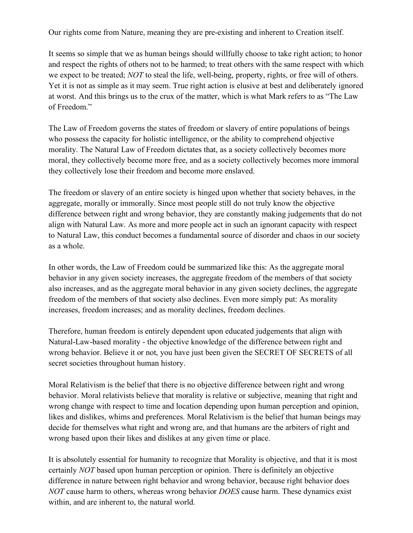Our rights come from Nature, meaning they are pre-existing and inherent to Creation itself.

It seems so simple that we as human beings should willfully choose to take right action; to honor and respect the rights of others not to be harmed; to treat others with the same respect with which we expect to be treated; *NOT* to steal the life, well-being, property, rights, or free will of others. Yet it is not as simple as it may seem. True right action is elusive at best and deliberately ignored at worst. And this brings us to the crux of the matter, which is what Mark refers to as "The Law of Freedom."

The Law of Freedom governs the states of freedom or slavery of entire populations of beings who possess the capacity for holistic intelligence, or the ability to comprehend objective morality. The Natural Law of Freedom dictates that, as a society collectively becomes more moral, they collectively become more free, and as a society collectively becomes more immoral they collectively lose their freedom and become more enslaved.

The freedom or slavery of an entire society is hinged upon whether that society behaves, in the aggregate, morally or immorally. Since most people still do not truly know the objective difference between right and wrong behavior, they are constantly making judgements that do not align with Natural Law. As more and more people act in such an ignorant capacity with respect to Natural Law, this conduct becomes a fundamental source of disorder and chaos in our society as a whole.

In other words, the Law of Freedom could be summarized like this: As the aggregate moral behavior in any given society increases, the aggregate freedom of the members of that society also increases, and as the aggregate moral behavior in any given society declines, the aggregate freedom of the members of that society also declines. Even more simply put: As morality increases, freedom increases; and as morality declines, freedom declines.

Therefore, human freedom is entirely dependent upon educated judgements that align with Natural-Law-based morality - the objective knowledge of the difference between right and wrong behavior. Believe it or not, you have just been given the SECRET OF SECRETS of all secret societies throughout human history.

Moral Relativism is the belief that there is no objective difference between right and wrong behavior. Moral relativists believe that morality is relative or subjective, meaning that right and wrong change with respect to time and location depending upon human perception and opinion, likes and dislikes, whims and preferences. Moral Relativism is the belief that human beings may decide for themselves what right and wrong are, and that humans are the arbiters of right and wrong based upon their likes and dislikes at any given time or place.

It is absolutely essential for humanity to recognize that Morality is objective, and that it is most certainly *NOT* based upon human perception or opinion. There is definitely an objective difference in nature between right behavior and wrong behavior, because right behavior does *NOT* cause harm to others, whereas wrong behavior *DOES* cause harm. These dynamics exist within, and are inherent to, the natural world.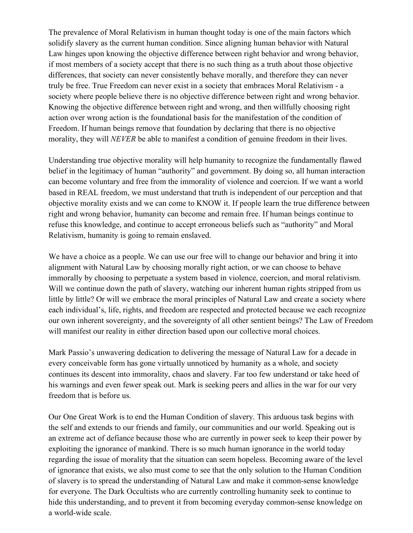The prevalence of Moral Relativism in human thought today is one of the main factors which solidify slavery as the current human condition. Since aligning human behavior with Natural Law hinges upon knowing the objective difference between right behavior and wrong behavior, if most members of a society accept that there is no such thing as a truth about those objective differences, that society can never consistently behave morally, and therefore they can never truly be free. True Freedom can never exist in a society that embraces Moral Relativism - a society where people believe there is no objective difference between right and wrong behavior. Knowing the objective difference between right and wrong, and then willfully choosing right action over wrong action is the foundational basis for the manifestation of the condition of Freedom. If human beings remove that foundation by declaring that there is no objective morality, they will *NEVER* be able to manifest a condition of genuine freedom in their lives.

Understanding true objective morality will help humanity to recognize the fundamentally flawed belief in the legitimacy of human "authority" and government. By doing so, all human interaction can become voluntary and free from the immorality of violence and coercion. If we want a world based in REAL freedom, we must understand that truth is independent of our perception and that objective morality exists and we can come to KNOW it. If people learn the true difference between right and wrong behavior, humanity can become and remain free. If human beings continue to refuse this knowledge, and continue to accept erroneous beliefs such as "authority" and Moral Relativism, humanity is going to remain enslaved.

We have a choice as a people. We can use our free will to change our behavior and bring it into alignment with Natural Law by choosing morally right action, or we can choose to behave immorally by choosing to perpetuate a system based in violence, coercion, and moral relativism. Will we continue down the path of slavery, watching our inherent human rights stripped from us little by little? Or will we embrace the moral principles of Natural Law and create a society where each individual's, life, rights, and freedom are respected and protected because we each recognize our own inherent sovereignty, and the sovereignty of all other sentient beings? The Law of Freedom will manifest our reality in either direction based upon our collective moral choices.

Mark Passio's unwavering dedication to delivering the message of Natural Law for a decade in every conceivable form has gone virtually unnoticed by humanity as a whole, and society continues its descent into immorality, chaos and slavery. Far too few understand or take heed of his warnings and even fewer speak out. Mark is seeking peers and allies in the war for our very freedom that is before us.

Our One Great Work is to end the Human Condition of slavery. This arduous task begins with the self and extends to our friends and family, our communities and our world. Speaking out is an extreme act of defiance because those who are currently in power seek to keep their power by exploiting the ignorance of mankind. There is so much human ignorance in the world today regarding the issue of morality that the situation can seem hopeless. Becoming aware of the level of ignorance that exists, we also must come to see that the only solution to the Human Condition of slavery is to spread the understanding of Natural Law and make it common-sense knowledge for everyone. The Dark Occultists who are currently controlling humanity seek to continue to hide this understanding, and to prevent it from becoming everyday common-sense knowledge on a world-wide scale.